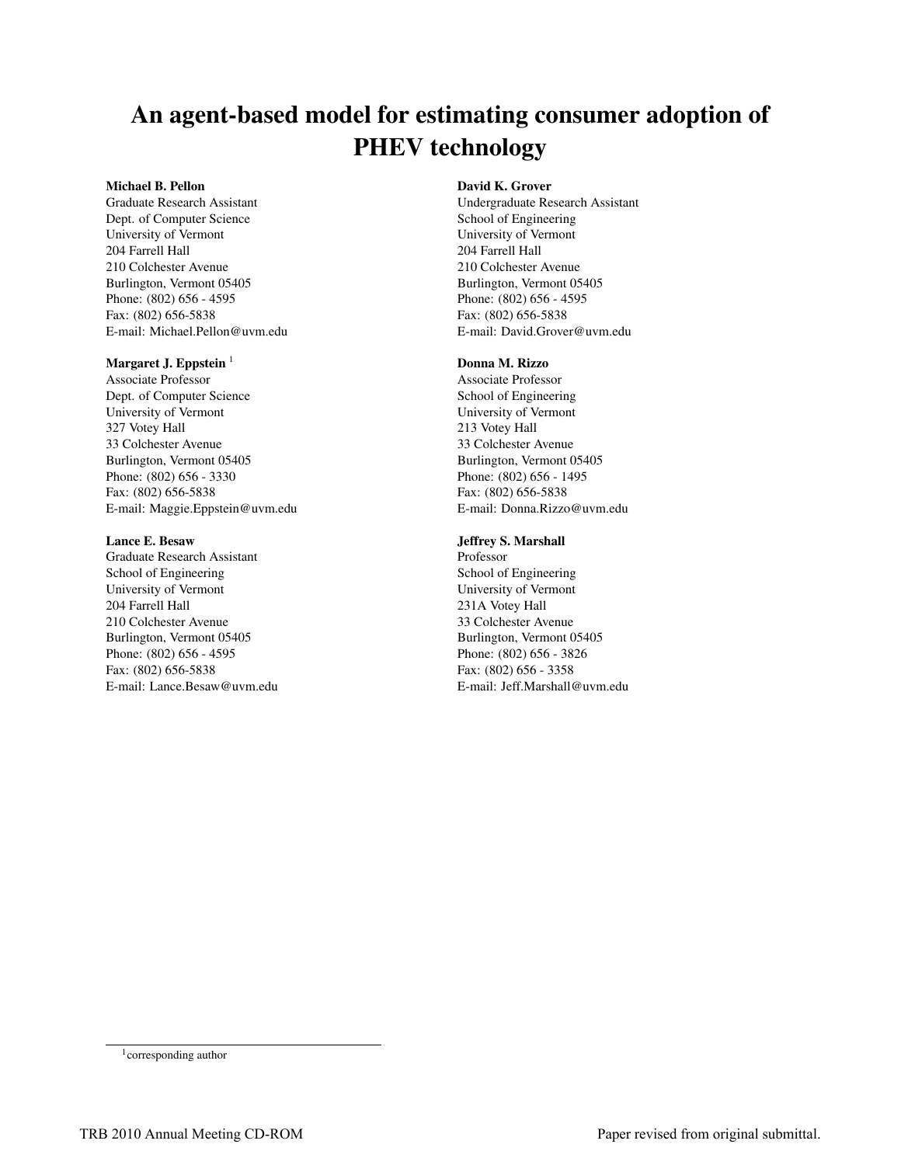# An agent-based model for estimating consumer adoption of PHEV technology

# Michael B. Pellon

Graduate Research Assistant Dept. of Computer Science University of Vermont 204 Farrell Hall 210 Colchester Avenue Burlington, Vermont 05405 Phone: (802) 656 - 4595 Fax: (802) 656-5838 E-mail: Michael.Pellon@uvm.edu

# Margaret J. Eppstein $<sup>1</sup>$ </sup>

Associate Professor Dept. of Computer Science University of Vermont 327 Votey Hall 33 Colchester Avenue Burlington, Vermont 05405 Phone: (802) 656 - 3330 Fax: (802) 656-5838 E-mail: Maggie.Eppstein@uvm.edu

## Lance E. Besaw

Graduate Research Assistant School of Engineering University of Vermont 204 Farrell Hall 210 Colchester Avenue Burlington, Vermont 05405 Phone: (802) 656 - 4595 Fax: (802) 656-5838 E-mail: Lance.Besaw@uvm.edu

# David K. Grover

Undergraduate Research Assistant School of Engineering University of Vermont 204 Farrell Hall 210 Colchester Avenue Burlington, Vermont 05405 Phone: (802) 656 - 4595 Fax: (802) 656-5838 E-mail: David.Grover@uvm.edu

## Donna M. Rizzo

Associate Professor School of Engineering University of Vermont 213 Votey Hall 33 Colchester Avenue Burlington, Vermont 05405 Phone: (802) 656 - 1495 Fax: (802) 656-5838 E-mail: Donna.Rizzo@uvm.edu

## Jeffrey S. Marshall

Professor School of Engineering University of Vermont 231A Votey Hall 33 Colchester Avenue Burlington, Vermont 05405 Phone: (802) 656 - 3826 Fax: (802) 656 - 3358 E-mail: Jeff.Marshall@uvm.edu

<sup>1</sup> corresponding author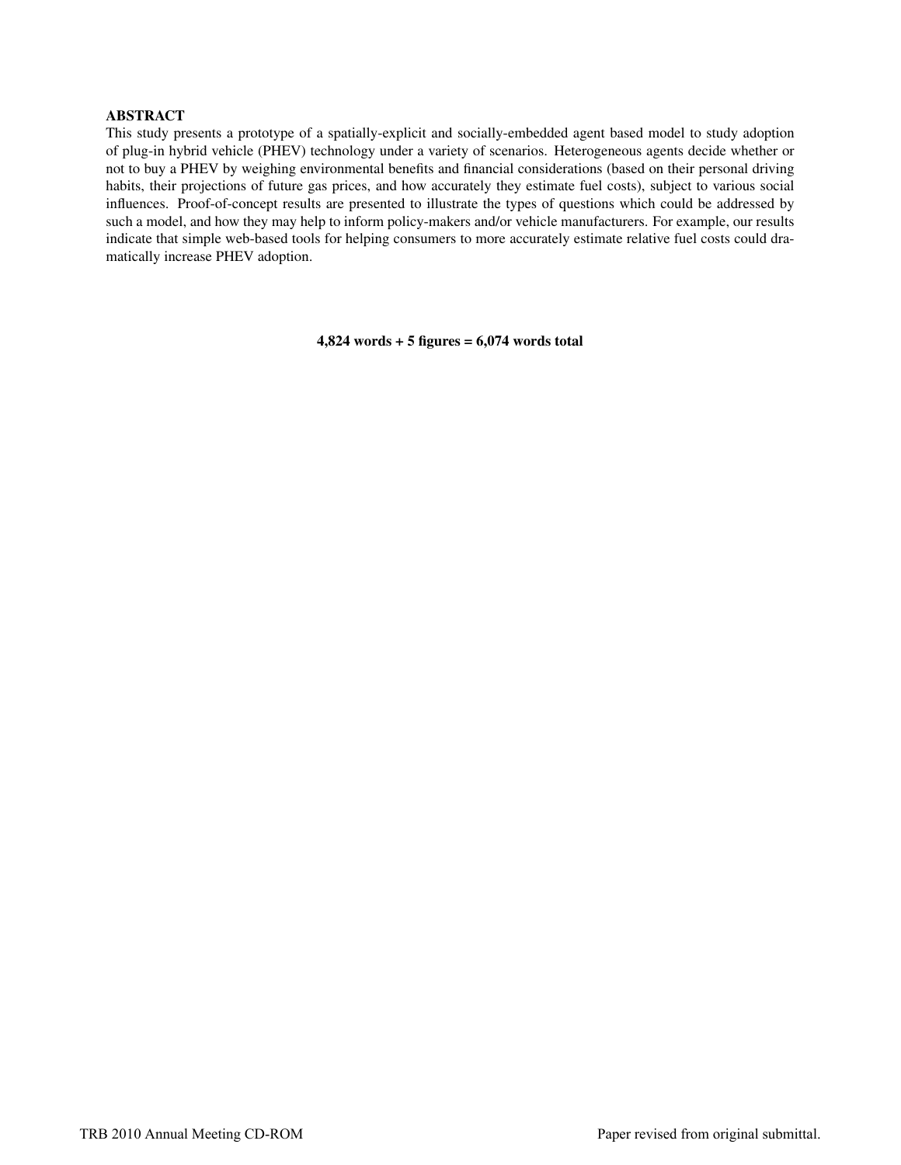# **ABSTRACT**

This study presents a prototype of a spatially-explicit and socially-embedded agent based model to study adoption of plug-in hybrid vehicle (PHEV) technology under a variety of scenarios. Heterogeneous agents decide whether or not to buy a PHEV by weighing environmental benefits and financial considerations (based on their personal driving habits, their projections of future gas prices, and how accurately they estimate fuel costs), subject to various social influences. Proof-of-concept results are presented to illustrate the types of questions which could be addressed by such a model, and how they may help to inform policy-makers and/or vehicle manufacturers. For example, our results indicate that simple web-based tools for helping consumers to more accurately estimate relative fuel costs could dramatically increase PHEV adoption.

 $4,824$  words + 5 figures =  $6,074$  words total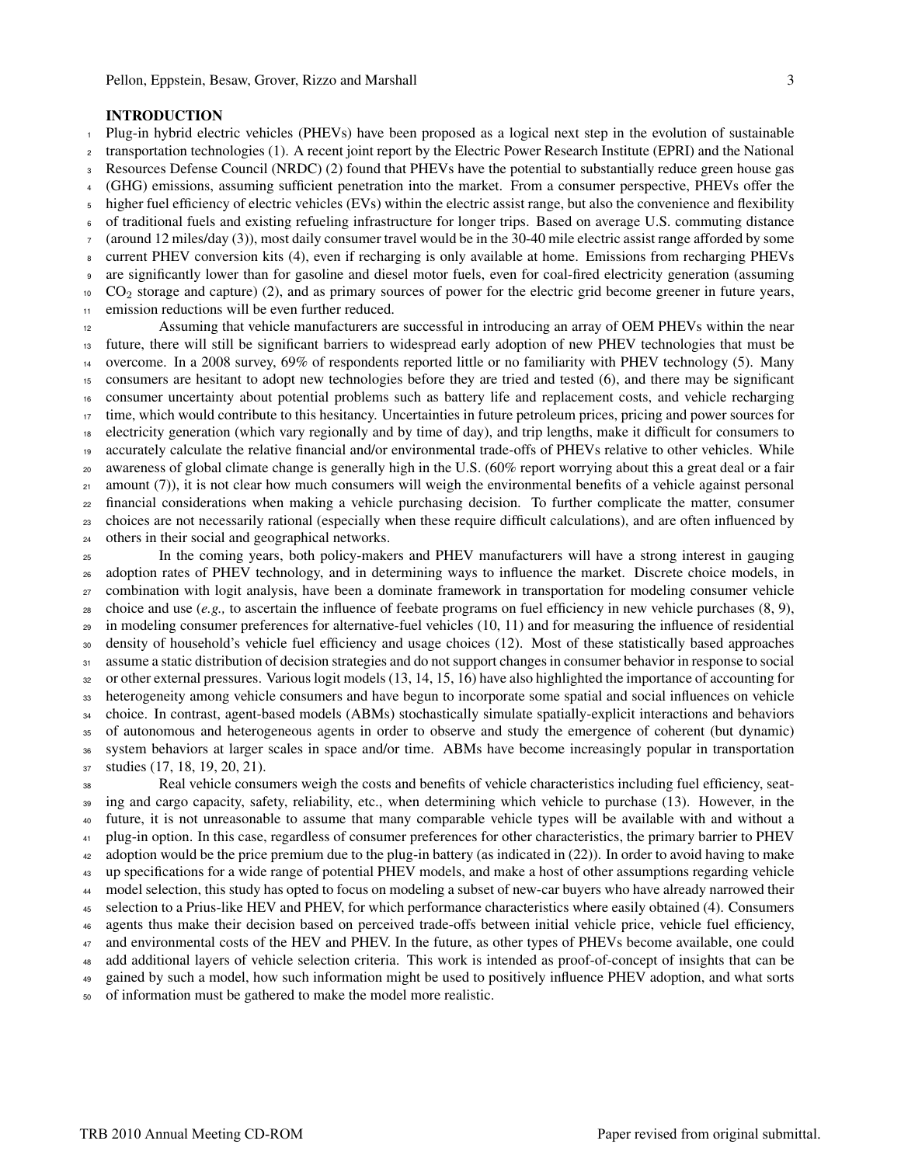## INTRODUCTION

 Plug-in hybrid electric vehicles (PHEVs) have been proposed as a logical next step in the evolution of sustainable transportation technologies (1). A recent joint report by the Electric Power Research Institute (EPRI) and the National Resources Defense Council (NRDC) (2) found that PHEVs have the potential to substantially reduce green house gas (GHG) emissions, assuming sufficient penetration into the market. From a consumer perspective, PHEVs offer the higher fuel efficiency of electric vehicles (EVs) within the electric assist range, but also the convenience and flexibility of traditional fuels and existing refueling infrastructure for longer trips. Based on average U.S. commuting distance  $(around 12 miles/day (3))$ , most daily consumer travel would be in the 30-40 mile electric assist range afforded by some current PHEV conversion kits (4), even if recharging is only available at home. Emissions from recharging PHEVs are significantly lower than for gasoline and diesel motor fuels, even for coal-fired electricity generation (assuming CO<sup>2</sup> storage and capture) (2), and as primary sources of power for the electric grid become greener in future years, emission reductions will be even further reduced. 12 Assuming that vehicle manufacturers are successful in introducing an array of OEM PHEVs within the near future, there will still be significant barriers to widespread early adoption of new PHEV technologies that must be overcome. In a 2008 survey, 69% of respondents reported little or no familiarity with PHEV technology (5). Many consumers are hesitant to adopt new technologies before they are tried and tested (6), and there may be significant consumer uncertainty about potential problems such as battery life and replacement costs, and vehicle recharging time, which would contribute to this hesitancy. Uncertainties in future petroleum prices, pricing and power sources for electricity generation (which vary regionally and by time of day), and trip lengths, make it difficult for consumers to accurately calculate the relative financial and/or environmental trade-offs of PHEVs relative to other vehicles. While

 awareness of global climate change is generally high in the U.S. (60% report worrying about this a great deal or a fair  $_{21}$  amount (7)), it is not clear how much consumers will weigh the environmental benefits of a vehicle against personal financial considerations when making a vehicle purchasing decision. To further complicate the matter, consumer choices are not necessarily rational (especially when these require difficult calculations), and are often influenced by

others in their social and geographical networks.

 In the coming years, both policy-makers and PHEV manufacturers will have a strong interest in gauging adoption rates of PHEV technology, and in determining ways to influence the market. Discrete choice models, in combination with logit analysis, have been a dominate framework in transportation for modeling consumer vehicle  $_{28}$  choice and use (*e.g.*, to ascertain the influence of feebate programs on fuel efficiency in new vehicle purchases  $(8, 9)$ ,  $_{29}$  in modeling consumer preferences for alternative-fuel vehicles (10, 11) and for measuring the influence of residential density of household's vehicle fuel efficiency and usage choices (12). Most of these statistically based approaches 31 assume a static distribution of decision strategies and do not support changes in consumer behavior in response to social or other external pressures. Various logit models (13, 14, 15, 16) have also highlighted the importance of accounting for heterogeneity among vehicle consumers and have begun to incorporate some spatial and social influences on vehicle choice. In contrast, agent-based models (ABMs) stochastically simulate spatially-explicit interactions and behaviors of autonomous and heterogeneous agents in order to observe and study the emergence of coherent (but dynamic) system behaviors at larger scales in space and/or time. ABMs have become increasingly popular in transportation studies (17, 18, 19, 20, 21).

 Real vehicle consumers weigh the costs and benefits of vehicle characteristics including fuel efficiency, seat- ing and cargo capacity, safety, reliability, etc., when determining which vehicle to purchase (13). However, in the future, it is not unreasonable to assume that many comparable vehicle types will be available with and without a <sup>41</sup> plug-in option. In this case, regardless of consumer preferences for other characteristics, the primary barrier to PHEV adoption would be the price premium due to the plug-in battery (as indicated in (22)). In order to avoid having to make up specifications for a wide range of potential PHEV models, and make a host of other assumptions regarding vehicle model selection, this study has opted to focus on modeling a subset of new-car buyers who have already narrowed their selection to a Prius-like HEV and PHEV, for which performance characteristics where easily obtained (4). Consumers agents thus make their decision based on perceived trade-offs between initial vehicle price, vehicle fuel efficiency, and environmental costs of the HEV and PHEV. In the future, as other types of PHEVs become available, one could add additional layers of vehicle selection criteria. This work is intended as proof-of-concept of insights that can be gained by such a model, how such information might be used to positively influence PHEV adoption, and what sorts of information must be gathered to make the model more realistic.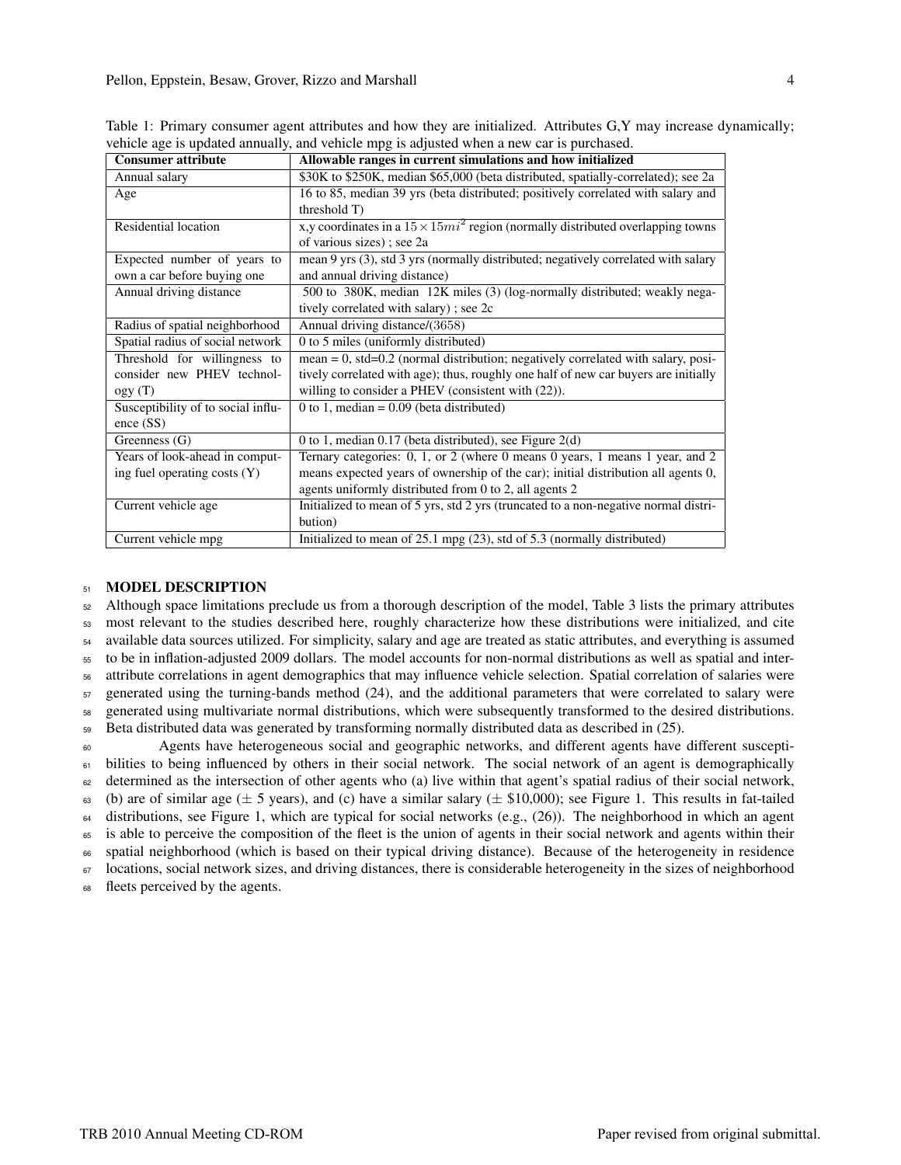| <b>Consumer attribute</b>          | Allowable ranges in current simulations and how initialized                            |
|------------------------------------|----------------------------------------------------------------------------------------|
| Annual salary                      | \$30K to \$250K, median \$65,000 (beta distributed, spatially-correlated); see 2a      |
| Age                                | 16 to 85, median 39 yrs (beta distributed; positively correlated with salary and       |
|                                    | threshold T)                                                                           |
| Residential location               | x,y coordinates in a $15 \times 15mi^2$ region (normally distributed overlapping towns |
|                                    | of various sizes); see 2a                                                              |
| Expected number of years to        | mean 9 yrs (3), std 3 yrs (normally distributed; negatively correlated with salary     |
| own a car before buying one        | and annual driving distance)                                                           |
| Annual driving distance            | 500 to 380K, median 12K miles (3) (log-normally distributed; weakly nega-              |
|                                    | tively correlated with salary); see 2c                                                 |
| Radius of spatial neighborhood     | Annual driving distance/(3658)                                                         |
| Spatial radius of social network   | 0 to 5 miles (uniformly distributed)                                                   |
| Threshold for willingness to       | $mean = 0$ , std=0.2 (normal distribution; negatively correlated with salary, posi-    |
| consider new PHEV technol-         | tively correlated with age); thus, roughly one half of new car buyers are initially    |
| ogy(T)                             | willing to consider a PHEV (consistent with (22)).                                     |
| Susceptibility of to social influ- | 0 to 1, median = $0.09$ (beta distributed)                                             |
| ence (SS)                          |                                                                                        |
| Greenness $(G)$                    | 0 to 1, median $0.17$ (beta distributed), see Figure 2(d)                              |
| Years of look-ahead in comput-     | Ternary categories: 0, 1, or 2 (where 0 means 0 years, 1 means 1 year, and 2           |
| ing fuel operating costs (Y)       | means expected years of ownership of the car); initial distribution all agents 0,      |
|                                    | agents uniformly distributed from 0 to 2, all agents 2                                 |
| Current vehicle age                | Initialized to mean of 5 yrs, std 2 yrs (truncated to a non-negative normal distri-    |
|                                    | bution)                                                                                |
| Current vehicle mpg                | Initialized to mean of 25.1 mpg (23), std of 5.3 (normally distributed)                |

Table 1: Primary consumer agent attributes and how they are initialized. Attributes G,Y may increase dynamically; vehicle age is updated annually, and vehicle mpg is adjusted when a new car is purchased.

## 51 **MODEL DESCRIPTION**

 Although space limitations preclude us from a thorough description of the model, Table 3 lists the primary attributes most relevant to the studies described here, roughly characterize how these distributions were initialized, and cite available data sources utilized. For simplicity, salary and age are treated as static attributes, and everything is assumed to be in inflation-adjusted 2009 dollars. The model accounts for non-normal distributions as well as spatial and inter- attribute correlations in agent demographics that may influence vehicle selection. Spatial correlation of salaries were generated using the turning-bands method (24), and the additional parameters that were correlated to salary were generated using multivariate normal distributions, which were subsequently transformed to the desired distributions. Beta distributed data was generated by transforming normally distributed data as described in (25).

 Agents have heterogeneous social and geographic networks, and different agents have different suscepti-61 bilities to being influenced by others in their social network. The social network of an agent is demographically determined as the intersection of other agents who (a) live within that agent's spatial radius of their social network, 63 (b) are of similar age ( $\pm$  5 years), and (c) have a similar salary ( $\pm$  \$10,000); see Figure 1. This results in fat-tailed distributions, see Figure 1, which are typical for social networks (e.g., (26)). The neighborhood in which an agent is able to perceive the composition of the fleet is the union of agents in their social network and agents within their spatial neighborhood (which is based on their typical driving distance). Because of the heterogeneity in residence locations, social network sizes, and driving distances, there is considerable heterogeneity in the sizes of neighborhood

<sup>68</sup> fleets perceived by the agents.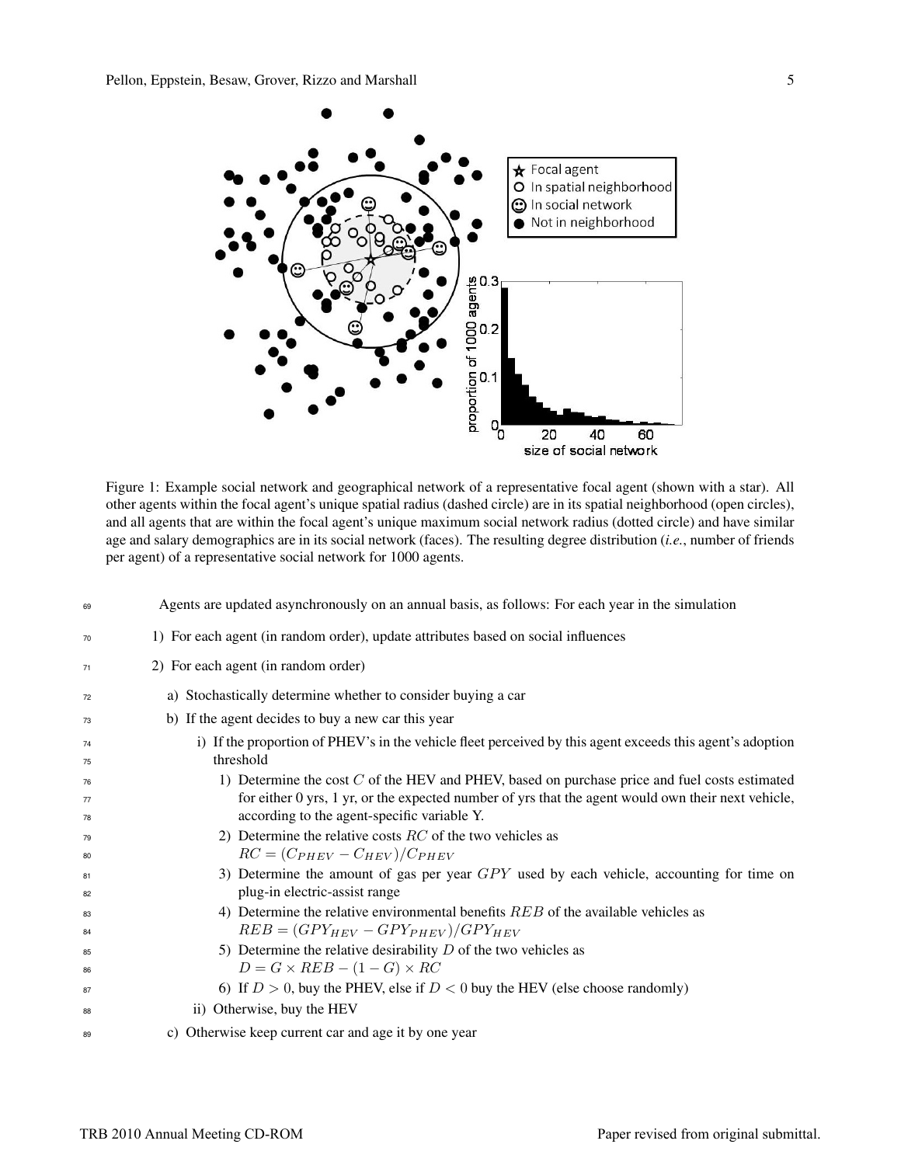

Figure 1: Example social network and geographical network of a representative focal agent (shown with a star). All other agents within the focal agent's unique spatial radius (dashed circle) are in its spatial neighborhood (open circles), and all agents that are within the focal agent's unique maximum social network radius (dotted circle) and have similar age and salary demographics are in its social network (faces). The resulting degree distribution (*i.e.*, number of friends per agent) of a representative social network for 1000 agents.

| 69       | Agents are updated asynchronously on an annual basis, as follows: For each year in the simulation                                                         |
|----------|-----------------------------------------------------------------------------------------------------------------------------------------------------------|
| 70       | 1) For each agent (in random order), update attributes based on social influences                                                                         |
| 71       | 2) For each agent (in random order)                                                                                                                       |
| 72       | a) Stochastically determine whether to consider buying a car                                                                                              |
| 73       | b) If the agent decides to buy a new car this year                                                                                                        |
| 74<br>75 | i) If the proportion of PHEV's in the vehicle fleet perceived by this agent exceeds this agent's adoption<br>threshold                                    |
| 76       | 1) Determine the cost $C$ of the HEV and PHEV, based on purchase price and fuel costs estimated                                                           |
| 77<br>78 | for either 0 yrs, 1 yr, or the expected number of yrs that the agent would own their next vehicle,<br>according to the agent-specific variable Y.         |
| 79<br>80 | 2) Determine the relative costs $RC$ of the two vehicles as<br>$RC = (C_{PHEV} - C_{HEV})/C_{PHEV}$                                                       |
| 81<br>82 | 3) Determine the amount of gas per year $GPY$ used by each vehicle, accounting for time on<br>plug-in electric-assist range                               |
| 83       | 4) Determine the relative environmental benefits REB of the available vehicles as                                                                         |
| 84<br>85 | $REB = (GPY_{HEV} - GPY_{PHEV})/GPY_{HEV}$<br>5) Determine the relative desirability $D$ of the two vehicles as<br>$D = G \times REB - (1 - G) \times RC$ |
| 86<br>87 | 6) If $D > 0$ , buy the PHEV, else if $D < 0$ buy the HEV (else choose randomly)                                                                          |
| 88       | ii) Otherwise, buy the HEV                                                                                                                                |
| 89       | c) Otherwise keep current car and age it by one year                                                                                                      |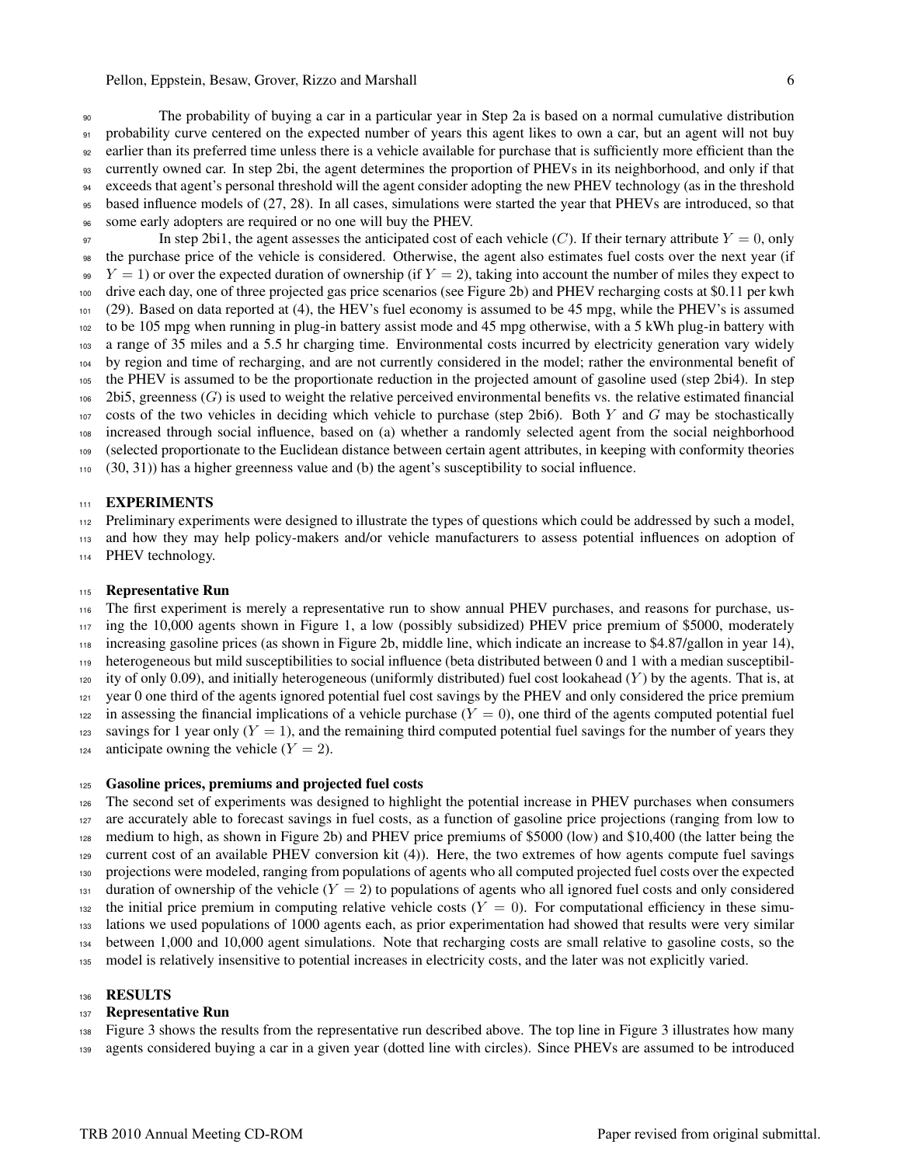#### Pellon, Eppstein, Besaw, Grover, Rizzo and Marshall 6

 The probability of buying a car in a particular year in Step 2a is based on a normal cumulative distribution 91 probability curve centered on the expected number of years this agent likes to own a car, but an agent will not buy earlier than its preferred time unless there is a vehicle available for purchase that is sufficiently more efficient than the 93 currently owned car. In step 2bi, the agent determines the proportion of PHEVs in its neighborhood, and only if that exceeds that agent's personal threshold will the agent consider adopting the new PHEV technology (as in the threshold based influence models of (27, 28). In all cases, simulations were started the year that PHEVs are introduced, so that some early adopters are required or no one will buy the PHEV.

97 In step 2bi1, the agent assesses the anticipated cost of each vehicle (C). If their ternary attribute  $Y = 0$ , only the purchase price of the vehicle is considered. Otherwise, the agent also estimates fuel costs over the next year (if  $99 \ Y = 1$ ) or over the expected duration of ownership (if  $Y = 2$ ), taking into account the number of miles they expect to drive each day, one of three projected gas price scenarios (see Figure 2b) and PHEV recharging costs at \$0.11 per kwh (29). Based on data reported at (4), the HEV's fuel economy is assumed to be 45 mpg, while the PHEV's is assumed to be 105 mpg when running in plug-in battery assist mode and 45 mpg otherwise, with a 5 kWh plug-in battery with a range of 35 miles and a 5.5 hr charging time. Environmental costs incurred by electricity generation vary widely by region and time of recharging, and are not currently considered in the model; rather the environmental benefit of the PHEV is assumed to be the proportionate reduction in the projected amount of gasoline used (step 2bi4). In step 2bi5, greenness (G) is used to weight the relative perceived environmental benefits vs. the relative estimated financial costs of the two vehicles in deciding which vehicle to purchase (step 2bi6). Both Y and G may be stochastically increased through social influence, based on (a) whether a randomly selected agent from the social neighborhood (selected proportionate to the Euclidean distance between certain agent attributes, in keeping with conformity theories (30, 31)) has a higher greenness value and (b) the agent's susceptibility to social influence.

## **EXPERIMENTS**

 Preliminary experiments were designed to illustrate the types of questions which could be addressed by such a model, and how they may help policy-makers and/or vehicle manufacturers to assess potential influences on adoption of

PHEV technology.

## Representative Run

 The first experiment is merely a representative run to show annual PHEV purchases, and reasons for purchase, us- ing the 10,000 agents shown in Figure 1, a low (possibly subsidized) PHEV price premium of \$5000, moderately increasing gasoline prices (as shown in Figure 2b, middle line, which indicate an increase to \$4.87/gallon in year 14), heterogeneous but mild susceptibilities to social influence (beta distributed between 0 and 1 with a median susceptibil-120 ity of only 0.09), and initially heterogeneous (uniformly distributed) fuel cost lookahead  $(Y)$  by the agents. That is, at year 0 one third of the agents ignored potential fuel cost savings by the PHEV and only considered the price premium in assessing the financial implications of a vehicle purchase  $(Y = 0)$ , one third of the agents computed potential fuel 123 savings for 1 year only  $(Y = 1)$ , and the remaining third computed potential fuel savings for the number of years they 124 anticipate owning the vehicle  $(Y = 2)$ .

## Gasoline prices, premiums and projected fuel costs

 The second set of experiments was designed to highlight the potential increase in PHEV purchases when consumers are accurately able to forecast savings in fuel costs, as a function of gasoline price projections (ranging from low to medium to high, as shown in Figure 2b) and PHEV price premiums of \$5000 (low) and \$10,400 (the latter being the current cost of an available PHEV conversion kit (4)). Here, the two extremes of how agents compute fuel savings projections were modeled, ranging from populations of agents who all computed projected fuel costs over the expected duration of ownership of the vehicle  $(Y = 2)$  to populations of agents who all ignored fuel costs and only considered 132 the initial price premium in computing relative vehicle costs  $(Y = 0)$ . For computational efficiency in these simu- lations we used populations of 1000 agents each, as prior experimentation had showed that results were very similar between 1,000 and 10,000 agent simulations. Note that recharging costs are small relative to gasoline costs, so the model is relatively insensitive to potential increases in electricity costs, and the later was not explicitly varied.

## 136 RESULTS

## Representative Run

Figure 3 shows the results from the representative run described above. The top line in Figure 3 illustrates how many

agents considered buying a car in a given year (dotted line with circles). Since PHEVs are assumed to be introduced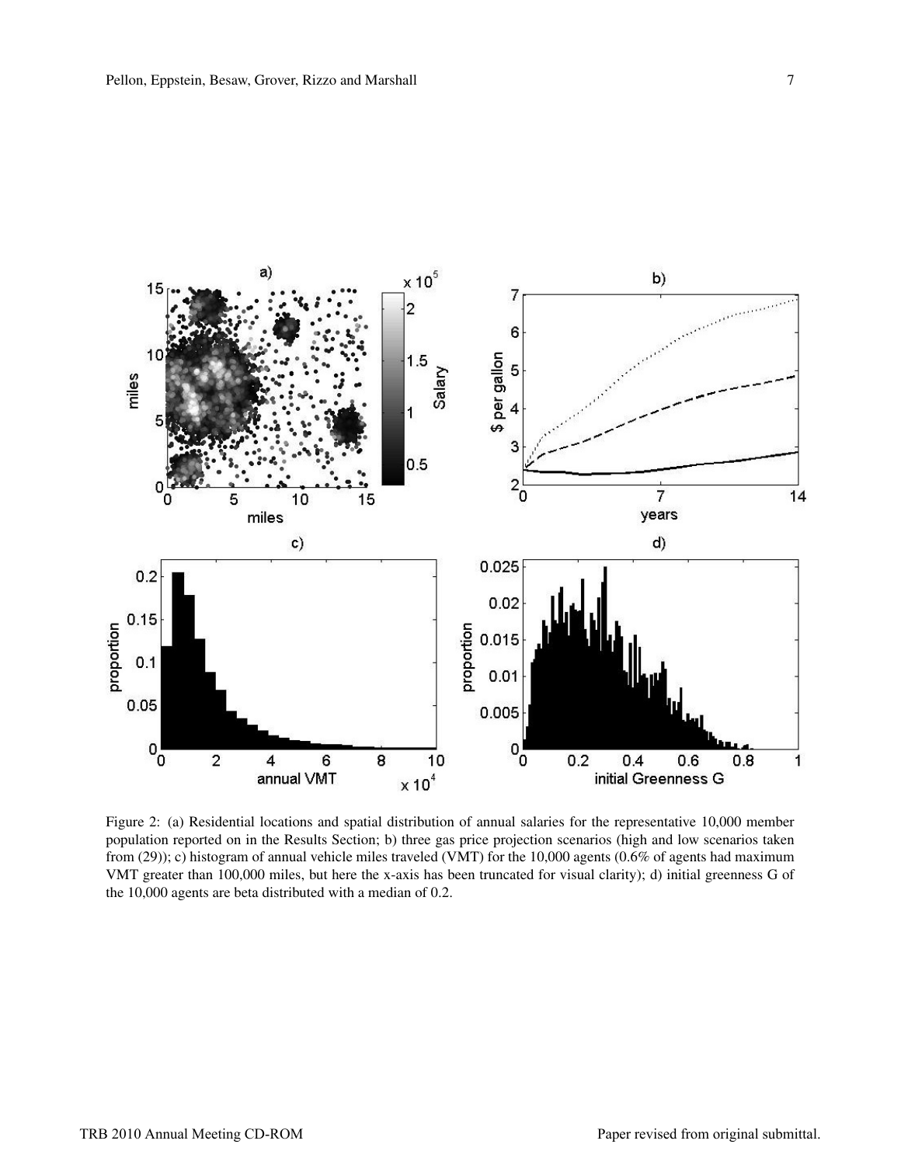

Figure 2: (a) Residential locations and spatial distribution of annual salaries for the representative 10,000 member population reported on in the Results Section; b) three gas price projection scenarios (high and low scenarios taken from (29)); c) histogram of annual vehicle miles traveled (VMT) for the 10,000 agents (0.6% of agents had maximum VMT greater than 100,000 miles, but here the x-axis has been truncated for visual clarity); d) initial greenness G of the 10,000 agents are beta distributed with a median of 0.2.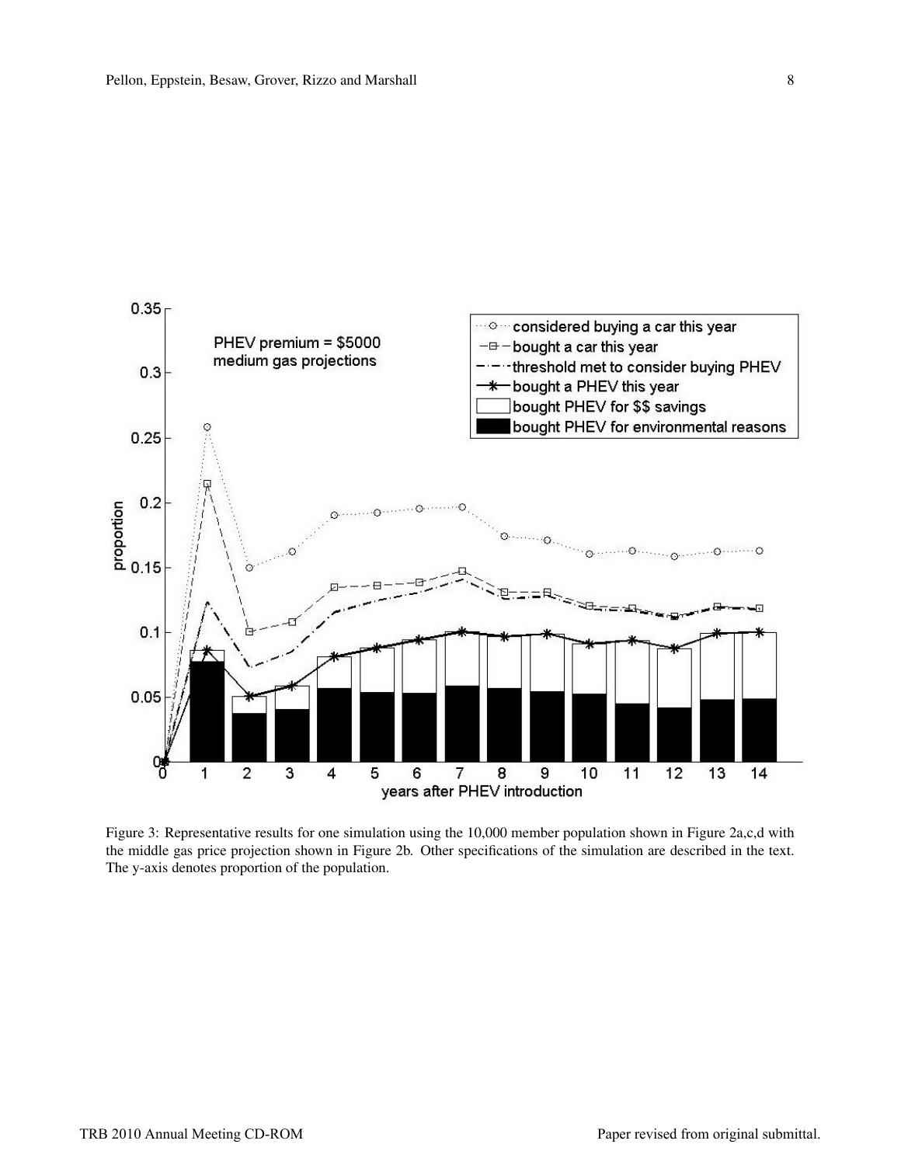

Figure 3: Representative results for one simulation using the 10,000 member population shown in Figure 2a,c,d with the middle gas price projection shown in Figure 2b. Other specifications of the simulation are described in the text. The y-axis denotes proportion of the population.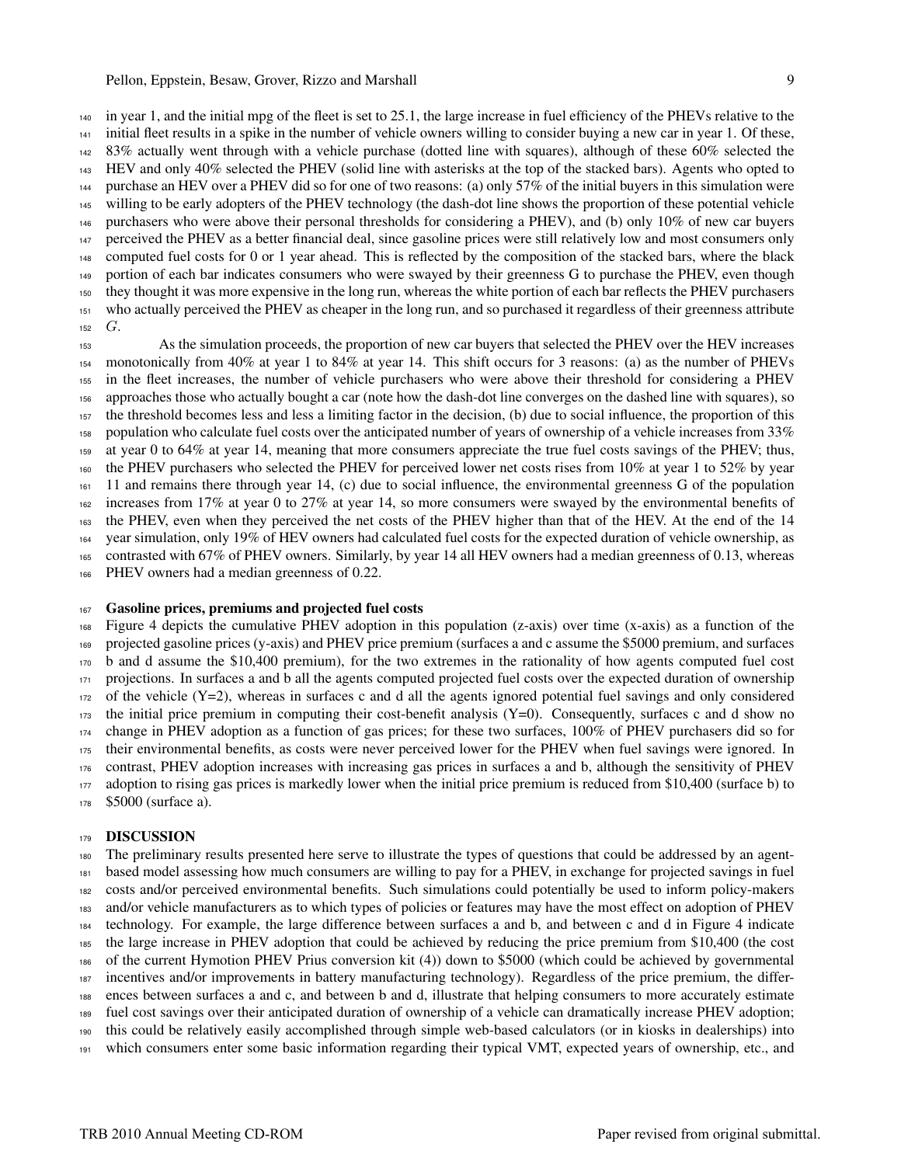in year 1, and the initial mpg of the fleet is set to 25.1, the large increase in fuel efficiency of the PHEVs relative to the initial fleet results in a spike in the number of vehicle owners willing to consider buying a new car in year 1. Of these, 83% actually went through with a vehicle purchase (dotted line with squares), although of these 60% selected the HEV and only 40% selected the PHEV (solid line with asterisks at the top of the stacked bars). Agents who opted to purchase an HEV over a PHEV did so for one of two reasons: (a) only 57% of the initial buyers in this simulation were willing to be early adopters of the PHEV technology (the dash-dot line shows the proportion of these potential vehicle purchasers who were above their personal thresholds for considering a PHEV), and (b) only 10% of new car buyers perceived the PHEV as a better financial deal, since gasoline prices were still relatively low and most consumers only computed fuel costs for 0 or 1 year ahead. This is reflected by the composition of the stacked bars, where the black 149 portion of each bar indicates consumers who were swayed by their greenness G to purchase the PHEV, even though they thought it was more expensive in the long run, whereas the white portion of each bar reflects the PHEV purchasers who actually perceived the PHEV as cheaper in the long run, and so purchased it regardless of their greenness attribute  $152 G.$ 

 As the simulation proceeds, the proportion of new car buyers that selected the PHEV over the HEV increases monotonically from 40% at year 1 to 84% at year 14. This shift occurs for 3 reasons: (a) as the number of PHEVs in the fleet increases, the number of vehicle purchasers who were above their threshold for considering a PHEV approaches those who actually bought a car (note how the dash-dot line converges on the dashed line with squares), so the threshold becomes less and less a limiting factor in the decision, (b) due to social influence, the proportion of this population who calculate fuel costs over the anticipated number of years of ownership of a vehicle increases from 33% at year 0 to 64% at year 14, meaning that more consumers appreciate the true fuel costs savings of the PHEV; thus, the PHEV purchasers who selected the PHEV for perceived lower net costs rises from 10% at year 1 to 52% by year 11 and remains there through year 14, (c) due to social influence, the environmental greenness G of the population increases from 17% at year 0 to 27% at year 14, so more consumers were swayed by the environmental benefits of the PHEV, even when they perceived the net costs of the PHEV higher than that of the HEV. At the end of the 14 year simulation, only 19% of HEV owners had calculated fuel costs for the expected duration of vehicle ownership, as contrasted with 67% of PHEV owners. Similarly, by year 14 all HEV owners had a median greenness of 0.13, whereas PHEV owners had a median greenness of 0.22.

#### Gasoline prices, premiums and projected fuel costs

 Figure 4 depicts the cumulative PHEV adoption in this population (z-axis) over time (x-axis) as a function of the projected gasoline prices (y-axis) and PHEV price premium (surfaces a and c assume the \$5000 premium, and surfaces b and d assume the \$10,400 premium), for the two extremes in the rationality of how agents computed fuel cost 171 projections. In surfaces a and b all the agents computed projected fuel costs over the expected duration of ownership of the vehicle (Y=2), whereas in surfaces c and d all the agents ignored potential fuel savings and only considered the initial price premium in computing their cost-benefit analysis (Y=0). Consequently, surfaces c and d show no change in PHEV adoption as a function of gas prices; for these two surfaces, 100% of PHEV purchasers did so for their environmental benefits, as costs were never perceived lower for the PHEV when fuel savings were ignored. In contrast, PHEV adoption increases with increasing gas prices in surfaces a and b, although the sensitivity of PHEV adoption to rising gas prices is markedly lower when the initial price premium is reduced from \$10,400 (surface b) to \$5000 (surface a).

#### **DISCUSSION**

 The preliminary results presented here serve to illustrate the types of questions that could be addressed by an agent- based model assessing how much consumers are willing to pay for a PHEV, in exchange for projected savings in fuel costs and/or perceived environmental benefits. Such simulations could potentially be used to inform policy-makers and/or vehicle manufacturers as to which types of policies or features may have the most effect on adoption of PHEV technology. For example, the large difference between surfaces a and b, and between c and d in Figure 4 indicate the large increase in PHEV adoption that could be achieved by reducing the price premium from \$10,400 (the cost of the current Hymotion PHEV Prius conversion kit (4)) down to \$5000 (which could be achieved by governmental incentives and/or improvements in battery manufacturing technology). Regardless of the price premium, the differ- ences between surfaces a and c, and between b and d, illustrate that helping consumers to more accurately estimate fuel cost savings over their anticipated duration of ownership of a vehicle can dramatically increase PHEV adoption; this could be relatively easily accomplished through simple web-based calculators (or in kiosks in dealerships) into which consumers enter some basic information regarding their typical VMT, expected years of ownership, etc., and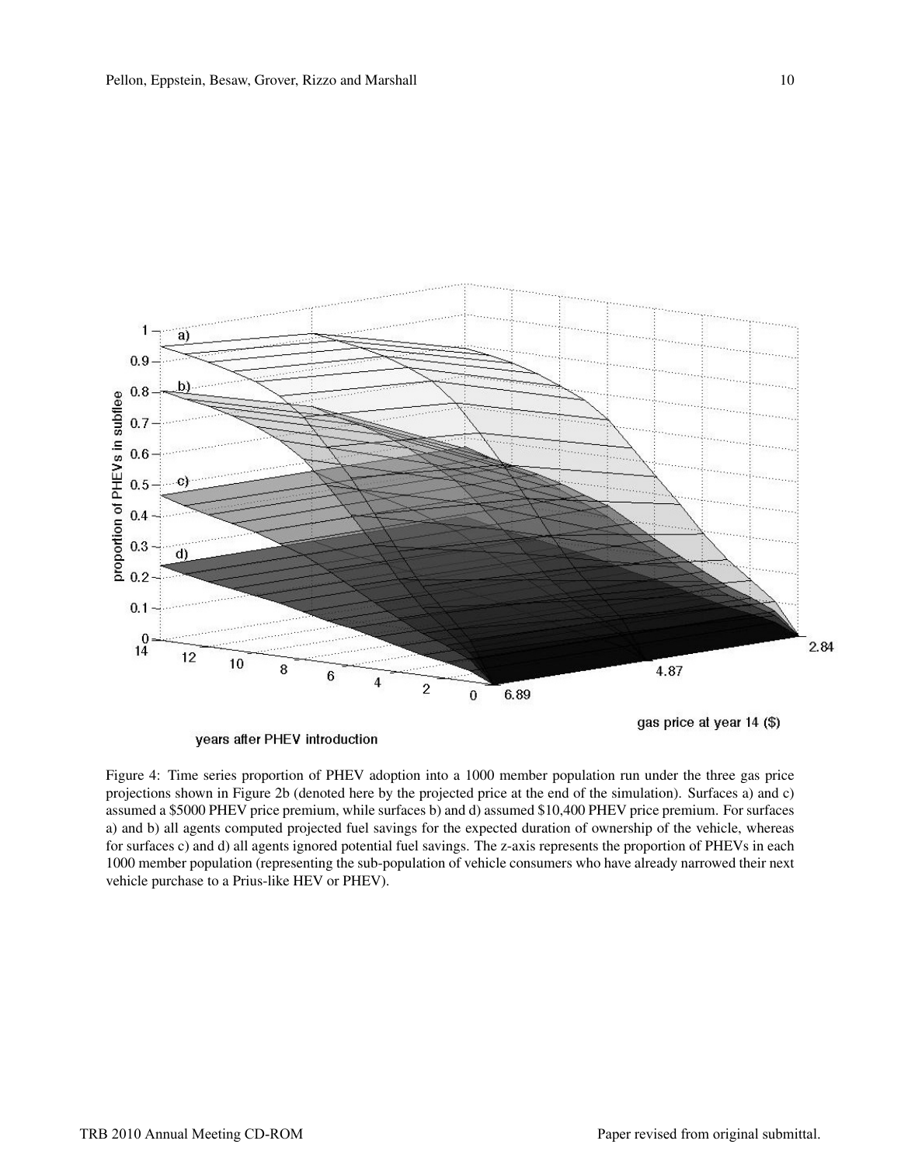

Figure 4: Time series proportion of PHEV adoption into a 1000 member population run under the three gas price projections shown in Figure 2b (denoted here by the projected price at the end of the simulation). Surfaces a) and c) assumed a \$5000 PHEV price premium, while surfaces b) and d) assumed \$10,400 PHEV price premium. For surfaces a) and b) all agents computed projected fuel savings for the expected duration of ownership of the vehicle, whereas for surfaces c) and d) all agents ignored potential fuel savings. The z-axis represents the proportion of PHEVs in each 1000 member population (representing the sub-population of vehicle consumers who have already narrowed their next vehicle purchase to a Prius-like HEV or PHEV).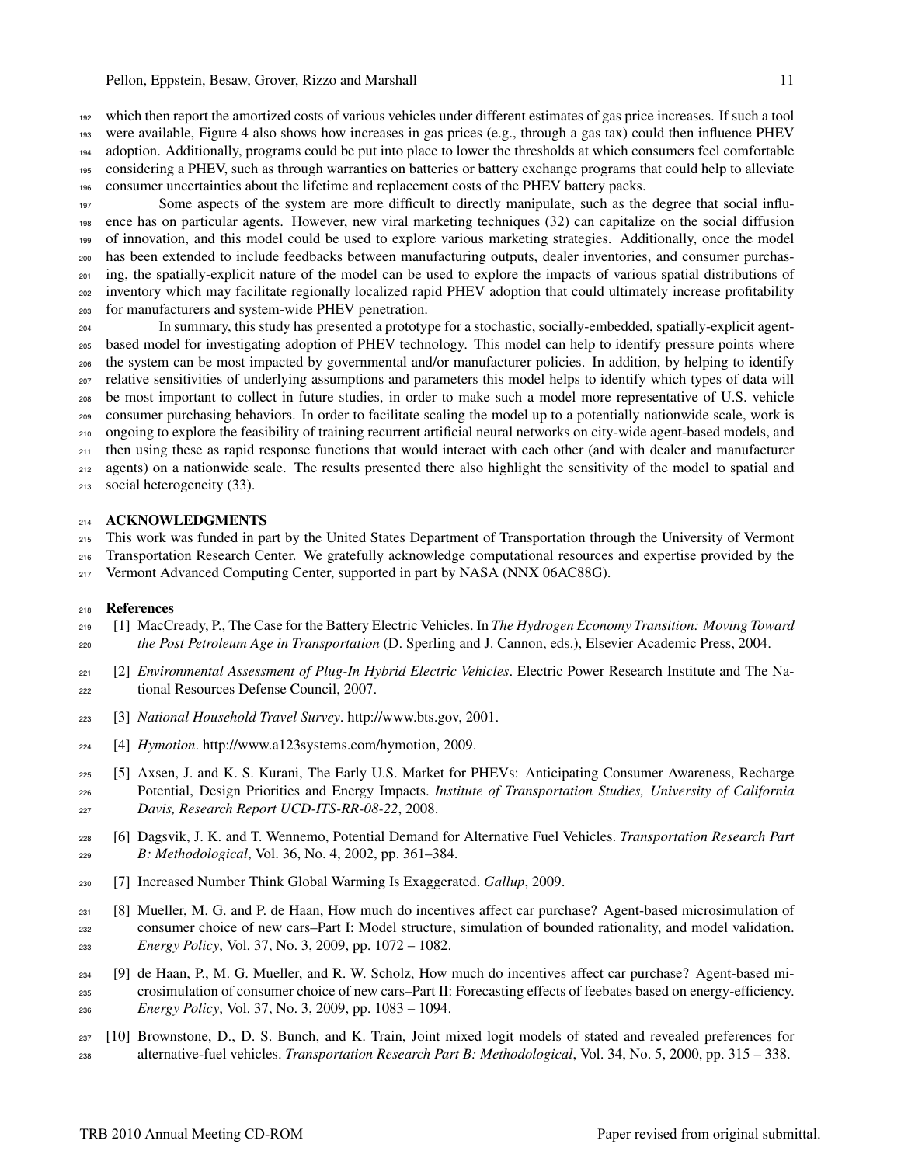which then report the amortized costs of various vehicles under different estimates of gas price increases. If such a tool were available, Figure 4 also shows how increases in gas prices (e.g., through a gas tax) could then influence PHEV adoption. Additionally, programs could be put into place to lower the thresholds at which consumers feel comfortable considering a PHEV, such as through warranties on batteries or battery exchange programs that could help to alleviate consumer uncertainties about the lifetime and replacement costs of the PHEV battery packs.

 Some aspects of the system are more difficult to directly manipulate, such as the degree that social influ- ence has on particular agents. However, new viral marketing techniques (32) can capitalize on the social diffusion of innovation, and this model could be used to explore various marketing strategies. Additionally, once the model has been extended to include feedbacks between manufacturing outputs, dealer inventories, and consumer purchas-<sup>201</sup> ing, the spatially-explicit nature of the model can be used to explore the impacts of various spatial distributions of inventory which may facilitate regionally localized rapid PHEV adoption that could ultimately increase profitability for manufacturers and system-wide PHEV penetration.

 In summary, this study has presented a prototype for a stochastic, socially-embedded, spatially-explicit agent- based model for investigating adoption of PHEV technology. This model can help to identify pressure points where the system can be most impacted by governmental and/or manufacturer policies. In addition, by helping to identify relative sensitivities of underlying assumptions and parameters this model helps to identify which types of data will be most important to collect in future studies, in order to make such a model more representative of U.S. vehicle consumer purchasing behaviors. In order to facilitate scaling the model up to a potentially nationwide scale, work is ongoing to explore the feasibility of training recurrent artificial neural networks on city-wide agent-based models, and then using these as rapid response functions that would interact with each other (and with dealer and manufacturer agents) on a nationwide scale. The results presented there also highlight the sensitivity of the model to spatial and social heterogeneity (33).

# 214 ACKNOWLEDGMENTS

 This work was funded in part by the United States Department of Transportation through the University of Vermont Transportation Research Center. We gratefully acknowledge computational resources and expertise provided by the

217 Vermont Advanced Computing Center, supported in part by NASA (NNX 06AC88G).

# References

- [1] MacCready, P., The Case for the Battery Electric Vehicles. In *The Hydrogen Economy Transition: Moving Toward the Post Petroleum Age in Transportation* (D. Sperling and J. Cannon, eds.), Elsevier Academic Press, 2004.
- [2] *Environmental Assessment of Plug-In Hybrid Electric Vehicles*. Electric Power Research Institute and The Na-tional Resources Defense Council, 2007.
- [3] *National Household Travel Survey*. http://www.bts.gov, 2001.
- [4] *Hymotion*. http://www.a123systems.com/hymotion, 2009.
- [5] Axsen, J. and K. S. Kurani, The Early U.S. Market for PHEVs: Anticipating Consumer Awareness, Recharge Potential, Design Priorities and Energy Impacts. *Institute of Transportation Studies, University of California Davis, Research Report UCD-ITS-RR-08-22*, 2008.
- [6] Dagsvik, J. K. and T. Wennemo, Potential Demand for Alternative Fuel Vehicles. *Transportation Research Part B: Methodological*, Vol. 36, No. 4, 2002, pp. 361–384.
- [7] Increased Number Think Global Warming Is Exaggerated. *Gallup*, 2009.
- [8] Mueller, M. G. and P. de Haan, How much do incentives affect car purchase? Agent-based microsimulation of consumer choice of new cars–Part I: Model structure, simulation of bounded rationality, and model validation. *Energy Policy*, Vol. 37, No. 3, 2009, pp. 1072 – 1082.
- [9] de Haan, P., M. G. Mueller, and R. W. Scholz, How much do incentives affect car purchase? Agent-based mi- crosimulation of consumer choice of new cars–Part II: Forecasting effects of feebates based on energy-efficiency. *Energy Policy*, Vol. 37, No. 3, 2009, pp. 1083 – 1094.
- [10] Brownstone, D., D. S. Bunch, and K. Train, Joint mixed logit models of stated and revealed preferences for alternative-fuel vehicles. *Transportation Research Part B: Methodological*, Vol. 34, No. 5, 2000, pp. 315 – 338.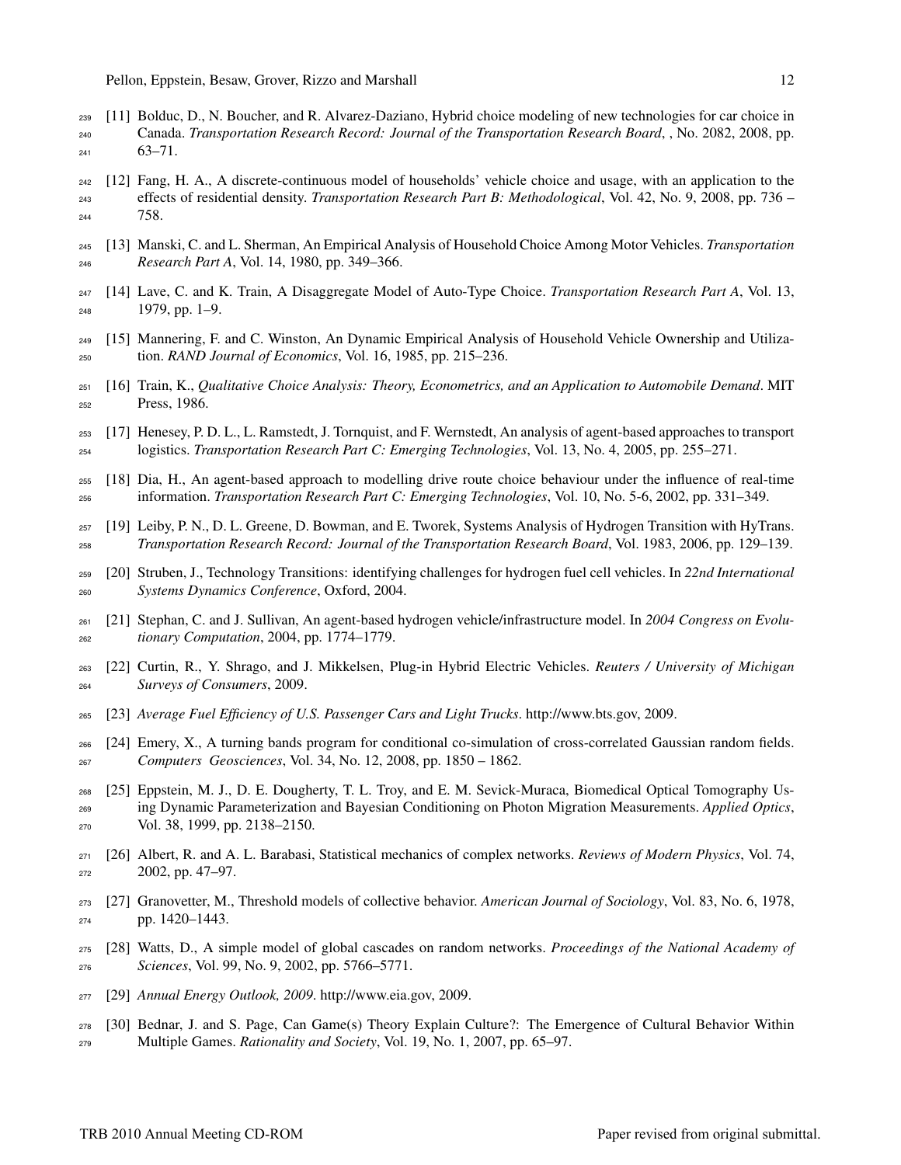- [11] Bolduc, D., N. Boucher, and R. Alvarez-Daziano, Hybrid choice modeling of new technologies for car choice in
- Canada. *Transportation Research Record: Journal of the Transportation Research Board*, , No. 2082, 2008, pp. 63–71.
- [12] Fang, H. A., A discrete-continuous model of households' vehicle choice and usage, with an application to the effects of residential density. *Transportation Research Part B: Methodological*, Vol. 42, No. 9, 2008, pp. 736 – 758.
- [13] Manski, C. and L. Sherman, An Empirical Analysis of Household Choice Among Motor Vehicles. *Transportation Research Part A*, Vol. 14, 1980, pp. 349–366.
- [14] Lave, C. and K. Train, A Disaggregate Model of Auto-Type Choice. *Transportation Research Part A*, Vol. 13, 1979, pp. 1–9.
- [15] Mannering, F. and C. Winston, An Dynamic Empirical Analysis of Household Vehicle Ownership and Utiliza-tion. *RAND Journal of Economics*, Vol. 16, 1985, pp. 215–236.
- [16] Train, K., *Qualitative Choice Analysis: Theory, Econometrics, and an Application to Automobile Demand*. MIT Press, 1986.
- [17] Henesey, P. D. L., L. Ramstedt, J. Tornquist, and F. Wernstedt, An analysis of agent-based approaches to transport logistics. *Transportation Research Part C: Emerging Technologies*, Vol. 13, No. 4, 2005, pp. 255–271.
- [18] Dia, H., An agent-based approach to modelling drive route choice behaviour under the influence of real-time information. *Transportation Research Part C: Emerging Technologies*, Vol. 10, No. 5-6, 2002, pp. 331–349.
- [19] Leiby, P. N., D. L. Greene, D. Bowman, and E. Tworek, Systems Analysis of Hydrogen Transition with HyTrans. *Transportation Research Record: Journal of the Transportation Research Board*, Vol. 1983, 2006, pp. 129–139.
- [20] Struben, J., Technology Transitions: identifying challenges for hydrogen fuel cell vehicles. In *22nd International Systems Dynamics Conference*, Oxford, 2004.
- [21] Stephan, C. and J. Sullivan, An agent-based hydrogen vehicle/infrastructure model. In *2004 Congress on Evolu-tionary Computation*, 2004, pp. 1774–1779.
- [22] Curtin, R., Y. Shrago, and J. Mikkelsen, Plug-in Hybrid Electric Vehicles. *Reuters / University of Michigan Surveys of Consumers*, 2009.
- [23] *Average Fuel Efficiency of U.S. Passenger Cars and Light Trucks*. http://www.bts.gov, 2009.
- [24] Emery, X., A turning bands program for conditional co-simulation of cross-correlated Gaussian random fields. *Computers Geosciences*, Vol. 34, No. 12, 2008, pp. 1850 – 1862.
- [25] Eppstein, M. J., D. E. Dougherty, T. L. Troy, and E. M. Sevick-Muraca, Biomedical Optical Tomography Us- ing Dynamic Parameterization and Bayesian Conditioning on Photon Migration Measurements. *Applied Optics*, Vol. 38, 1999, pp. 2138–2150.
- [26] Albert, R. and A. L. Barabasi, Statistical mechanics of complex networks. *Reviews of Modern Physics*, Vol. 74, 2002, pp. 47–97.
- [27] Granovetter, M., Threshold models of collective behavior. *American Journal of Sociology*, Vol. 83, No. 6, 1978, pp. 1420–1443.
- [28] Watts, D., A simple model of global cascades on random networks. *Proceedings of the National Academy of Sciences*, Vol. 99, No. 9, 2002, pp. 5766–5771.
- [29] *Annual Energy Outlook, 2009*. http://www.eia.gov, 2009.
- [30] Bednar, J. and S. Page, Can Game(s) Theory Explain Culture?: The Emergence of Cultural Behavior Within Multiple Games. *Rationality and Society*, Vol. 19, No. 1, 2007, pp. 65–97.